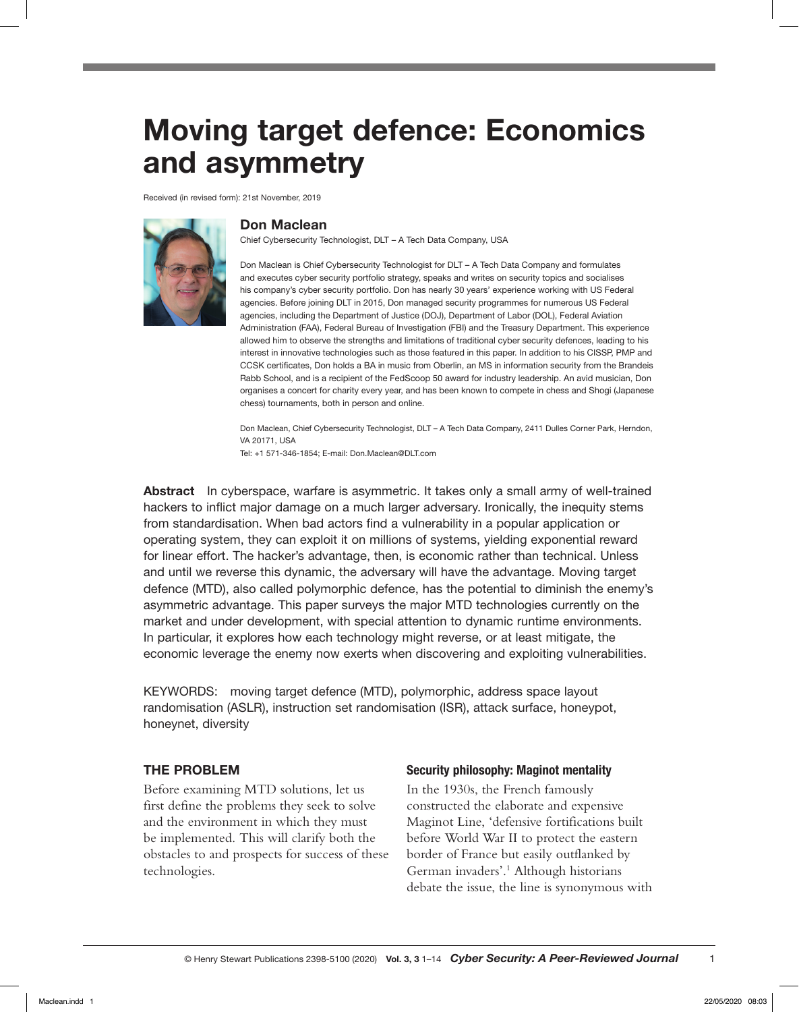# Moving target defence: Economics and asymmetry

Received (in revised form): 21st November, 2019



## Don Maclean

Chief Cybersecurity Technologist, DLT – A Tech Data Company, USA

Don Maclean is Chief Cybersecurity Technologist for DLT – A Tech Data Company and formulates and executes cyber security portfolio strategy, speaks and writes on security topics and socialises his company's cyber security portfolio. Don has nearly 30 years' experience working with US Federal agencies. Before joining DLT in 2015, Don managed security programmes for numerous US Federal agencies, including the Department of Justice (DOJ), Department of Labor (DOL), Federal Aviation Administration (FAA), Federal Bureau of Investigation (FBI) and the Treasury Department. This experience allowed him to observe the strengths and limitations of traditional cyber security defences, leading to his interest in innovative technologies such as those featured in this paper. In addition to his CISSP, PMP and CCSK certificates, Don holds a BA in music from Oberlin, an MS in information security from the Brandeis Rabb School, and is a recipient of the FedScoop 50 award for industry leadership. An avid musician, Don organises a concert for charity every year, and has been known to compete in chess and Shogi (Japanese chess) tournaments, both in person and online.

Don Maclean, Chief Cybersecurity Technologist, DLT – A Tech Data Company, 2411 Dulles Corner Park, Herndon, VA 20171, USA Tel: +1 571-346-1854; E-mail: Don.Maclean@DLT.com

Abstract In cyberspace, warfare is asymmetric. It takes only a small army of well-trained hackers to inflict major damage on a much larger adversary. Ironically, the inequity stems from standardisation. When bad actors find a vulnerability in a popular application or operating system, they can exploit it on millions of systems, yielding exponential reward for linear effort. The hacker's advantage, then, is economic rather than technical. Unless and until we reverse this dynamic, the adversary will have the advantage. Moving target defence (MTD), also called polymorphic defence, has the potential to diminish the enemy's asymmetric advantage. This paper surveys the major MTD technologies currently on the market and under development, with special attention to dynamic runtime environments. In particular, it explores how each technology might reverse, or at least mitigate, the economic leverage the enemy now exerts when discovering and exploiting vulnerabilities.

KEYWORDS: moving target defence (MTD), polymorphic, address space layout randomisation (ASLR), instruction set randomisation (ISR), attack surface, honeypot, honeynet, diversity

#### THE PROBLEM

Before examining MTD solutions, let us first define the problems they seek to solve and the environment in which they must be implemented. This will clarify both the obstacles to and prospects for success of these technologies.

#### Security philosophy: Maginot mentality

In the 1930s, the French famously constructed the elaborate and expensive Maginot Line, 'defensive fortifications built before World War II to protect the eastern border of France but easily outflanked by German invaders'.<sup>1</sup> Although historians debate the issue, the line is synonymous with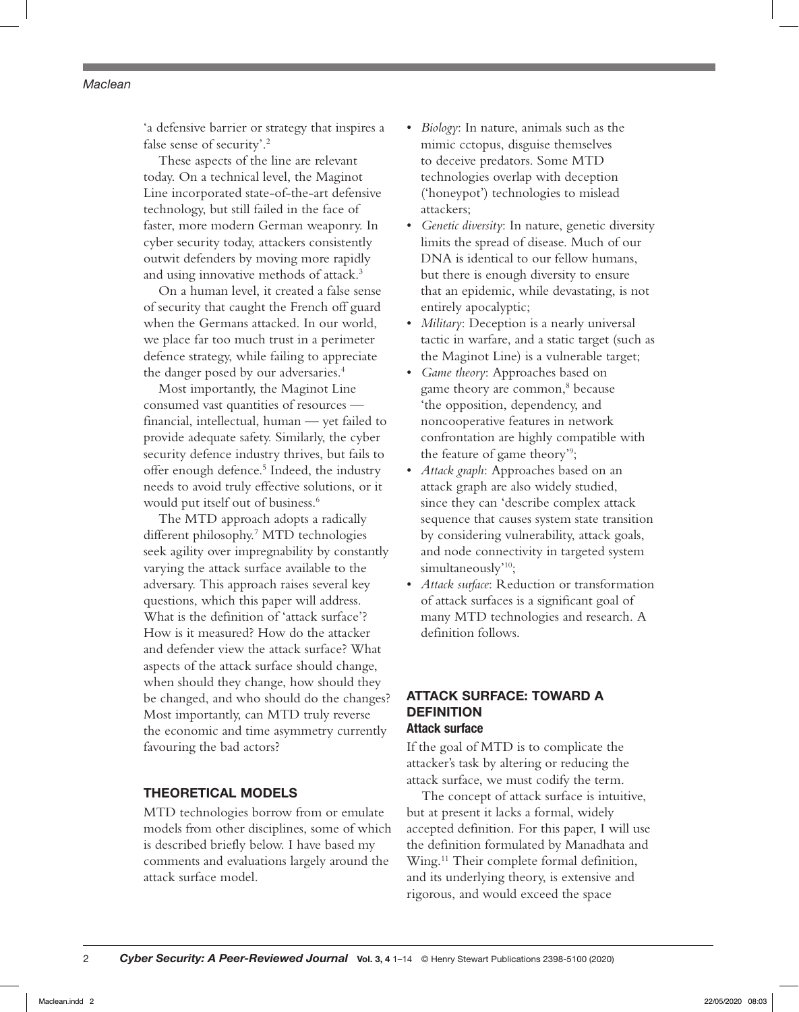'a defensive barrier or strategy that inspires a false sense of security'.2

These aspects of the line are relevant today. On a technical level, the Maginot Line incorporated state-of-the-art defensive technology, but still failed in the face of faster, more modern German weaponry. In cyber security today, attackers consistently outwit defenders by moving more rapidly and using innovative methods of attack.<sup>3</sup>

On a human level, it created a false sense of security that caught the French off guard when the Germans attacked. In our world, we place far too much trust in a perimeter defence strategy, while failing to appreciate the danger posed by our adversaries.<sup>4</sup>

Most importantly, the Maginot Line consumed vast quantities of resources financial, intellectual, human — yet failed to provide adequate safety. Similarly, the cyber security defence industry thrives, but fails to offer enough defence.<sup>5</sup> Indeed, the industry needs to avoid truly effective solutions, or it would put itself out of business.<sup>6</sup>

The MTD approach adopts a radically different philosophy.7 MTD technologies seek agility over impregnability by constantly varying the attack surface available to the adversary. This approach raises several key questions, which this paper will address. What is the definition of 'attack surface'? How is it measured? How do the attacker and defender view the attack surface? What aspects of the attack surface should change, when should they change, how should they be changed, and who should do the changes? Most importantly, can MTD truly reverse the economic and time asymmetry currently favouring the bad actors?

#### THEORETICAL MODELS

MTD technologies borrow from or emulate models from other disciplines, some of which is described briefly below. I have based my comments and evaluations largely around the attack surface model.

- *Biology*: In nature, animals such as the mimic cctopus, disguise themselves to deceive predators. Some MTD technologies overlap with deception ('honeypot') technologies to mislead attackers;
- *Genetic diversity*: In nature, genetic diversity limits the spread of disease. Much of our DNA is identical to our fellow humans, but there is enough diversity to ensure that an epidemic, while devastating, is not entirely apocalyptic;
- *Military*: Deception is a nearly universal tactic in warfare, and a static target (such as the Maginot Line) is a vulnerable target;
- *Game theory*: Approaches based on game theory are common,<sup>8</sup> because 'the opposition, dependency, and noncooperative features in network confrontation are highly compatible with the feature of game theory'9 ;
- *Attack graph*: Approaches based on an attack graph are also widely studied, since they can 'describe complex attack sequence that causes system state transition by considering vulnerability, attack goals, and node connectivity in targeted system simultaneously'<sup>10</sup>;
- *Attack surface*: Reduction or transformation of attack surfaces is a significant goal of many MTD technologies and research. A definition follows.

## ATTACK SURFACE: TOWARD A **DEFINITION** Attack surface

If the goal of MTD is to complicate the attacker's task by altering or reducing the attack surface, we must codify the term.

The concept of attack surface is intuitive, but at present it lacks a formal, widely accepted definition. For this paper, I will use the definition formulated by Manadhata and Wing.<sup>11</sup> Their complete formal definition, and its underlying theory, is extensive and rigorous, and would exceed the space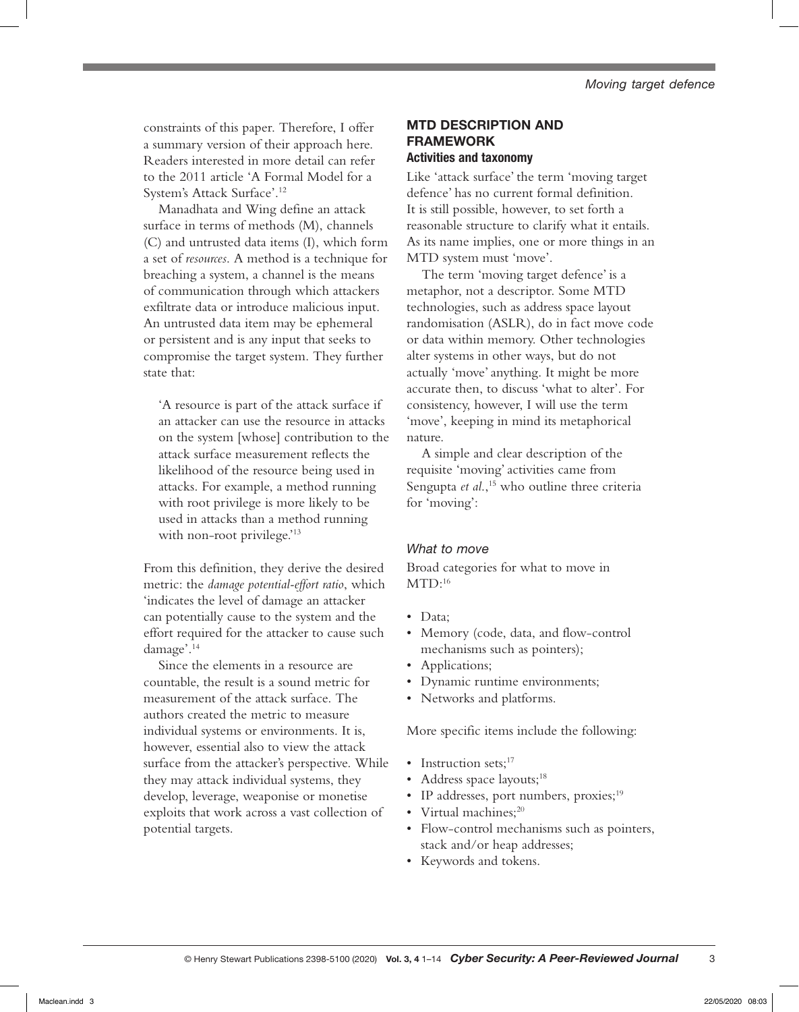constraints of this paper. Therefore, I offer a summary version of their approach here. Readers interested in more detail can refer to the 2011 article 'A Formal Model for a System's Attack Surface'.12

Manadhata and Wing define an attack surface in terms of methods (M), channels (C) and untrusted data items (I), which form a set of *resources*. A method is a technique for breaching a system, a channel is the means of communication through which attackers exfiltrate data or introduce malicious input. An untrusted data item may be ephemeral or persistent and is any input that seeks to compromise the target system. They further state that:

'A resource is part of the attack surface if an attacker can use the resource in attacks on the system [whose] contribution to the attack surface measurement reflects the likelihood of the resource being used in attacks. For example, a method running with root privilege is more likely to be used in attacks than a method running with non-root privilege.'<sup>13</sup>

From this definition, they derive the desired metric: the *damage potential-effort ratio*, which 'indicates the level of damage an attacker can potentially cause to the system and the effort required for the attacker to cause such damage'.14

Since the elements in a resource are countable, the result is a sound metric for measurement of the attack surface. The authors created the metric to measure individual systems or environments. It is, however, essential also to view the attack surface from the attacker's perspective. While they may attack individual systems, they develop, leverage, weaponise or monetise exploits that work across a vast collection of potential targets.

## MTD DESCRIPTION AND FRAMEWORK Activities and taxonomy

Like 'attack surface' the term 'moving target defence' has no current formal definition. It is still possible, however, to set forth a reasonable structure to clarify what it entails. As its name implies, one or more things in an MTD system must 'move'.

The term 'moving target defence' is a metaphor, not a descriptor. Some MTD technologies, such as address space layout randomisation (ASLR), do in fact move code or data within memory. Other technologies alter systems in other ways, but do not actually 'move' anything. It might be more accurate then, to discuss 'what to alter'. For consistency, however, I will use the term 'move', keeping in mind its metaphorical nature.

A simple and clear description of the requisite 'moving' activities came from Sengupta et al.,<sup>15</sup> who outline three criteria for 'moving':

## *What to move*

Broad categories for what to move in  $MTD:16$ 

- Data;
- Memory (code, data, and flow-control mechanisms such as pointers);
- Applications;
- Dynamic runtime environments;
- Networks and platforms.

More specific items include the following:

- Instruction sets; $17$
- Address space layouts;<sup>18</sup>
- IP addresses, port numbers, proxies;<sup>19</sup>
- Virtual machines;<sup>20</sup>
- Flow-control mechanisms such as pointers, stack and/or heap addresses;
- Keywords and tokens.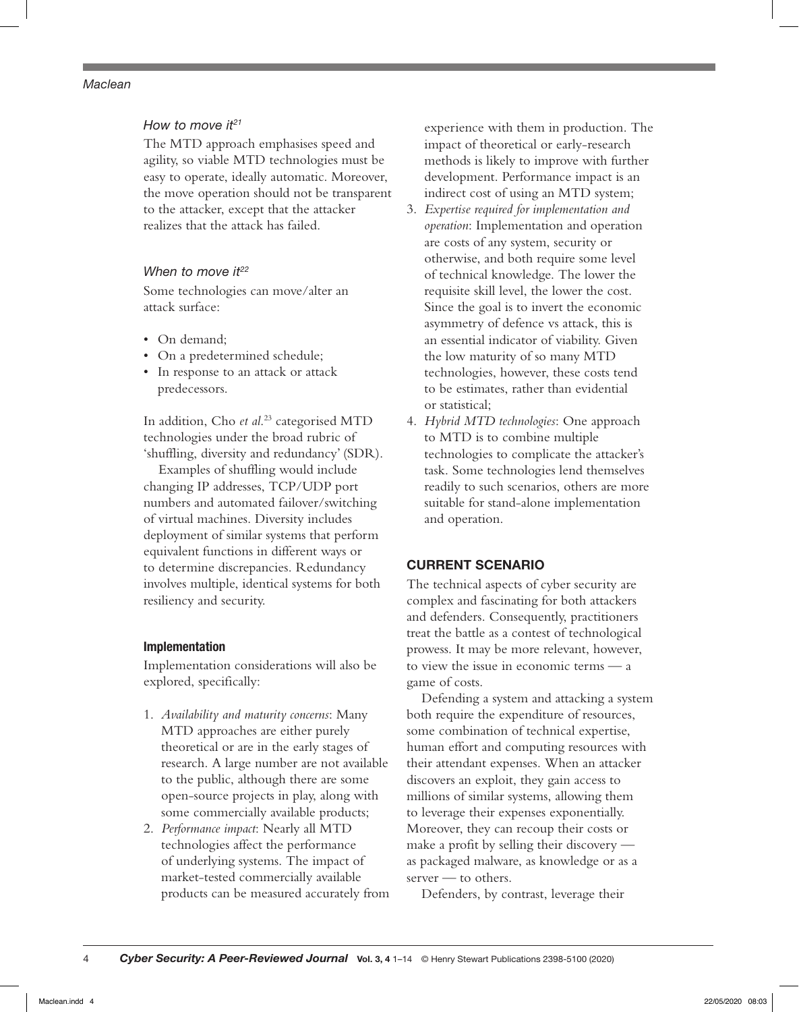## *How to move it21*

The MTD approach emphasises speed and agility, so viable MTD technologies must be easy to operate, ideally automatic. Moreover, the move operation should not be transparent to the attacker, except that the attacker realizes that the attack has failed.

## *When to move it<sup>22</sup>*

Some technologies can move/alter an attack surface:

- On demand;
- On a predetermined schedule;
- In response to an attack or attack predecessors.

In addition, Cho *et al*. 23 categorised MTD technologies under the broad rubric of 'shuffling, diversity and redundancy' (SDR).

Examples of shuffling would include changing IP addresses, TCP/UDP port numbers and automated failover/switching of virtual machines. Diversity includes deployment of similar systems that perform equivalent functions in different ways or to determine discrepancies. Redundancy involves multiple, identical systems for both resiliency and security.

## Implementation

Implementation considerations will also be explored, specifically:

- 1. *Availability and maturity concerns*: Many MTD approaches are either purely theoretical or are in the early stages of research. A large number are not available to the public, although there are some open-source projects in play, along with some commercially available products;
- 2. *Performance impact*: Nearly all MTD technologies affect the performance of underlying systems. The impact of market-tested commercially available products can be measured accurately from

experience with them in production. The impact of theoretical or early-research methods is likely to improve with further development. Performance impact is an indirect cost of using an MTD system;

- 3. *Expertise required for implementation and operation*: Implementation and operation are costs of any system, security or otherwise, and both require some level of technical knowledge. The lower the requisite skill level, the lower the cost. Since the goal is to invert the economic asymmetry of defence vs attack, this is an essential indicator of viability. Given the low maturity of so many MTD technologies, however, these costs tend to be estimates, rather than evidential or statistical;
- 4. *Hybrid MTD technologies*: One approach to MTD is to combine multiple technologies to complicate the attacker's task. Some technologies lend themselves readily to such scenarios, others are more suitable for stand-alone implementation and operation.

## CURRENT SCENARIO

The technical aspects of cyber security are complex and fascinating for both attackers and defenders. Consequently, practitioners treat the battle as a contest of technological prowess. It may be more relevant, however, to view the issue in economic terms — a game of costs.

Defending a system and attacking a system both require the expenditure of resources, some combination of technical expertise, human effort and computing resources with their attendant expenses. When an attacker discovers an exploit, they gain access to millions of similar systems, allowing them to leverage their expenses exponentially. Moreover, they can recoup their costs or make a profit by selling their discovery as packaged malware, as knowledge or as a server — to others.

Defenders, by contrast, leverage their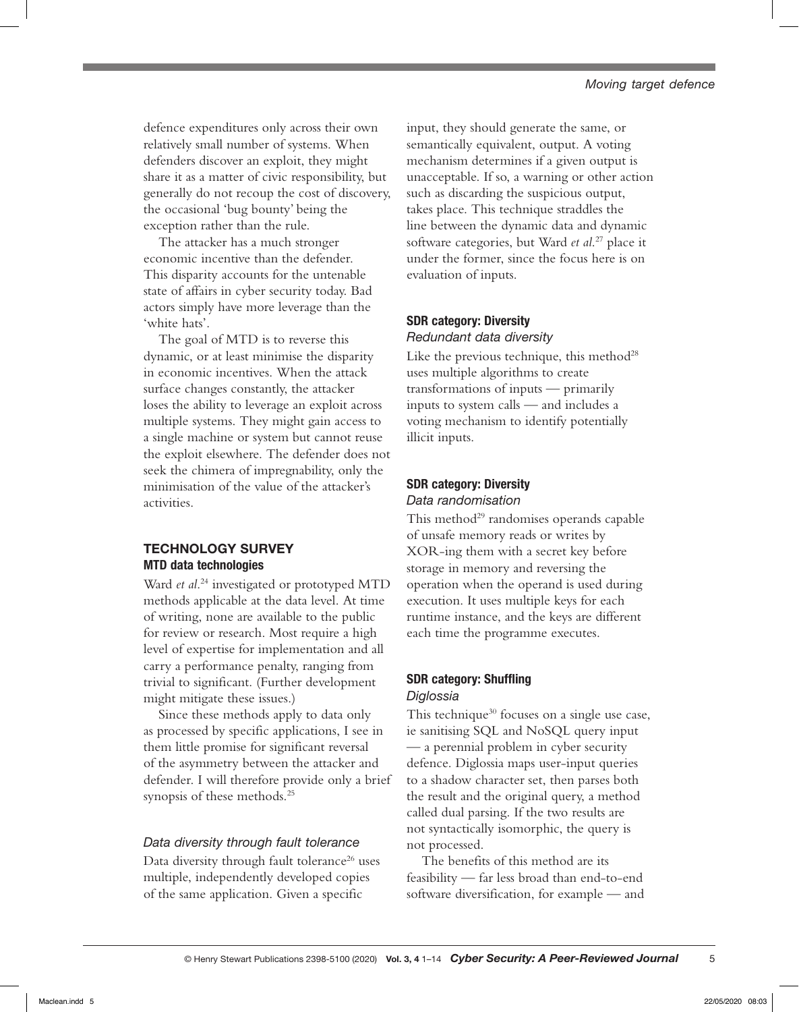defence expenditures only across their own relatively small number of systems. When defenders discover an exploit, they might share it as a matter of civic responsibility, but generally do not recoup the cost of discovery, the occasional 'bug bounty' being the exception rather than the rule.

The attacker has a much stronger economic incentive than the defender. This disparity accounts for the untenable state of affairs in cyber security today. Bad actors simply have more leverage than the 'white hats'.

The goal of MTD is to reverse this dynamic, or at least minimise the disparity in economic incentives. When the attack surface changes constantly, the attacker loses the ability to leverage an exploit across multiple systems. They might gain access to a single machine or system but cannot reuse the exploit elsewhere. The defender does not seek the chimera of impregnability, only the minimisation of the value of the attacker's activities.

## TECHNOLOGY SURVEY MTD data technologies

Ward *et al*. 24 investigated or prototyped MTD methods applicable at the data level. At time of writing, none are available to the public for review or research. Most require a high level of expertise for implementation and all carry a performance penalty, ranging from trivial to significant. (Further development might mitigate these issues.)

Since these methods apply to data only as processed by specific applications, I see in them little promise for significant reversal of the asymmetry between the attacker and defender. I will therefore provide only a brief synopsis of these methods.<sup>25</sup>

## *Data diversity through fault tolerance*

Data diversity through fault tolerance<sup>26</sup> uses multiple, independently developed copies of the same application. Given a specific

input, they should generate the same, or semantically equivalent, output. A voting mechanism determines if a given output is unacceptable. If so, a warning or other action such as discarding the suspicious output, takes place. This technique straddles the line between the dynamic data and dynamic software categories, but Ward *et al*. 27 place it under the former, since the focus here is on evaluation of inputs.

## SDR category: Diversity *Redundant data diversity*

Like the previous technique, this method $28$ uses multiple algorithms to create transformations of inputs — primarily inputs to system calls — and includes a voting mechanism to identify potentially illicit inputs.

#### SDR category: Diversity *Data randomisation*

This method<sup>29</sup> randomises operands capable of unsafe memory reads or writes by XOR-ing them with a secret key before storage in memory and reversing the operation when the operand is used during execution. It uses multiple keys for each runtime instance, and the keys are different each time the programme executes.

## SDR category: Shuffling *Diglossia*

This technique<sup>30</sup> focuses on a single use case, ie sanitising SQL and NoSQL query input — a perennial problem in cyber security defence. Diglossia maps user-input queries to a shadow character set, then parses both the result and the original query, a method called dual parsing. If the two results are not syntactically isomorphic, the query is not processed.

The benefits of this method are its feasibility — far less broad than end-to-end software diversification, for example — and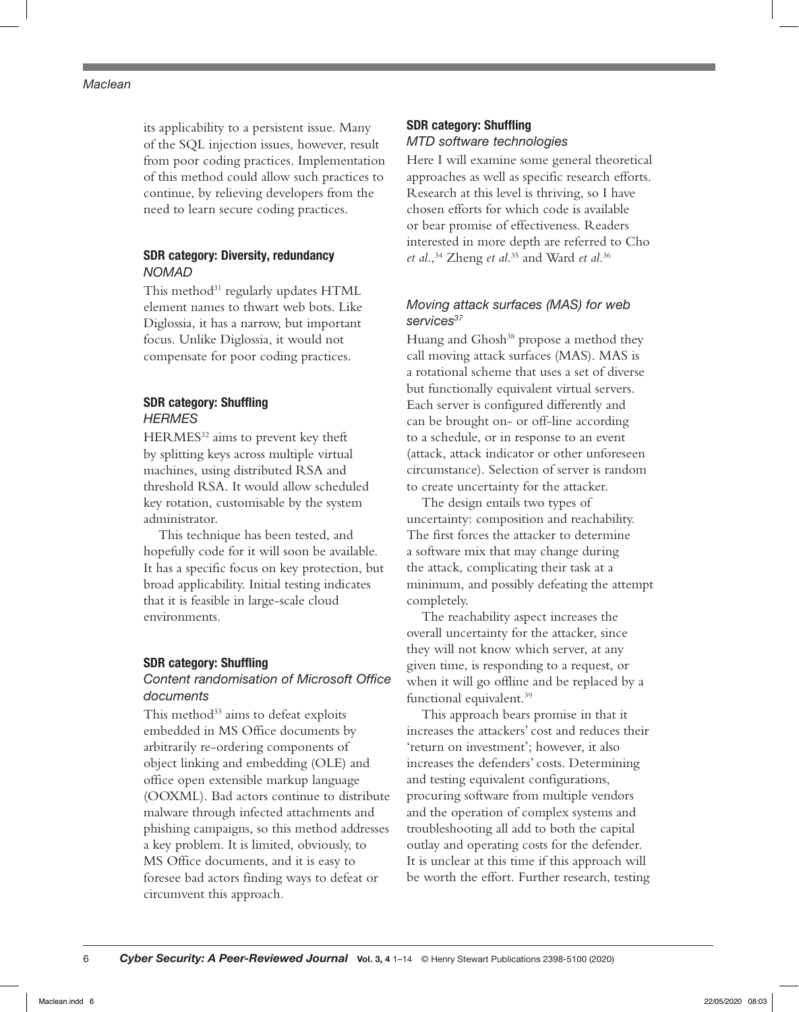its applicability to a persistent issue. Many of the SQL injection issues, however, result from poor coding practices. Implementation of this method could allow such practices to continue, by relieving developers from the need to learn secure coding practices.

## SDR category: Diversity, redundancy *NOMAD*

This method<sup>31</sup> regularly updates HTML element names to thwart web bots. Like Diglossia, it has a narrow, but important focus. Unlike Diglossia, it would not compensate for poor coding practices.

## SDR category: Shuffling *HERMES*

HERMES<sup>32</sup> aims to prevent key theft by splitting keys across multiple virtual machines, using distributed RSA and threshold RSA. It would allow scheduled key rotation, customisable by the system administrator.

This technique has been tested, and hopefully code for it will soon be available. It has a specific focus on key protection, but broad applicability. Initial testing indicates that it is feasible in large-scale cloud environments.

#### SDR category: Shuffling

## *Content randomisation of Microsoft Office documents*

This method<sup>33</sup> aims to defeat exploits embedded in MS Office documents by arbitrarily re-ordering components of object linking and embedding (OLE) and office open extensible markup language (OOXML). Bad actors continue to distribute malware through infected attachments and phishing campaigns, so this method addresses a key problem. It is limited, obviously, to MS Office documents, and it is easy to foresee bad actors finding ways to defeat or circumvent this approach.

## SDR category: Shuffling *MTD software technologies*

Here I will examine some general theoretical approaches as well as specific research efforts. Research at this level is thriving, so I have chosen efforts for which code is available or bear promise of effectiveness. Readers interested in more depth are referred to Cho *et al*.,34 Zheng *et al*. 35 and Ward *et al*. 36

## *Moving attack surfaces (MAS) for web services37*

Huang and Ghosh<sup>38</sup> propose a method they call moving attack surfaces (MAS). MAS is a rotational scheme that uses a set of diverse but functionally equivalent virtual servers. Each server is configured differently and can be brought on- or off-line according to a schedule, or in response to an event (attack, attack indicator or other unforeseen circumstance). Selection of server is random to create uncertainty for the attacker.

The design entails two types of uncertainty: composition and reachability. The first forces the attacker to determine a software mix that may change during the attack, complicating their task at a minimum, and possibly defeating the attempt completely.

The reachability aspect increases the overall uncertainty for the attacker, since they will not know which server, at any given time, is responding to a request, or when it will go offline and be replaced by a functional equivalent.<sup>39</sup>

This approach bears promise in that it increases the attackers' cost and reduces their 'return on investment'; however, it also increases the defenders' costs. Determining and testing equivalent configurations, procuring software from multiple vendors and the operation of complex systems and troubleshooting all add to both the capital outlay and operating costs for the defender. It is unclear at this time if this approach will be worth the effort. Further research, testing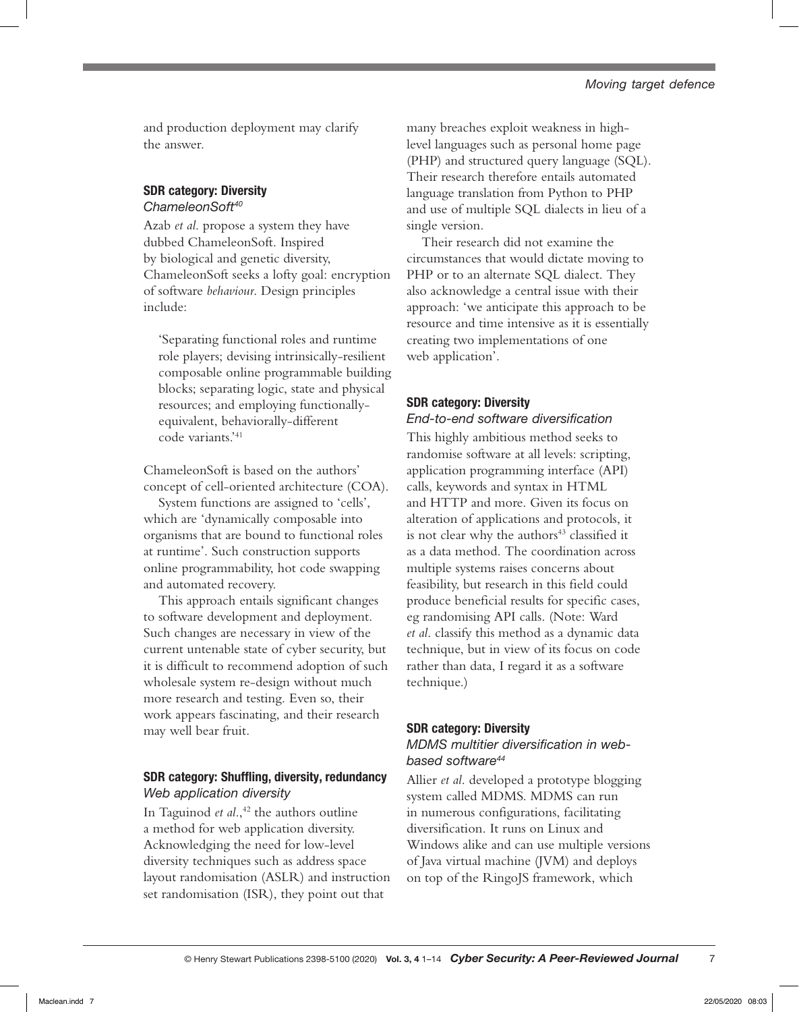and production deployment may clarify the answer.

# SDR category: Diversity

*ChameleonSoft40*

Azab *et al*. propose a system they have dubbed ChameleonSoft. Inspired by biological and genetic diversity, ChameleonSoft seeks a lofty goal: encryption of software *behaviour*. Design principles include:

'Separating functional roles and runtime role players; devising intrinsically-resilient composable online programmable building blocks; separating logic, state and physical resources; and employing functionallyequivalent, behaviorally-different code variants.'41

ChameleonSoft is based on the authors' concept of cell-oriented architecture (COA).

System functions are assigned to 'cells', which are 'dynamically composable into organisms that are bound to functional roles at runtime'. Such construction supports online programmability, hot code swapping and automated recovery.

This approach entails significant changes to software development and deployment. Such changes are necessary in view of the current untenable state of cyber security, but it is difficult to recommend adoption of such wholesale system re-design without much more research and testing. Even so, their work appears fascinating, and their research may well bear fruit.

## SDR category: Shuffling, diversity, redundancy *Web application diversity*

In Taguinod *et al.*,<sup>42</sup> the authors outline a method for web application diversity. Acknowledging the need for low-level diversity techniques such as address space layout randomisation (ASLR) and instruction set randomisation (ISR), they point out that

many breaches exploit weakness in highlevel languages such as personal home page (PHP) and structured query language (SQL). Their research therefore entails automated language translation from Python to PHP and use of multiple SQL dialects in lieu of a single version.

Their research did not examine the circumstances that would dictate moving to PHP or to an alternate SQL dialect. They also acknowledge a central issue with their approach: 'we anticipate this approach to be resource and time intensive as it is essentially creating two implementations of one web application'.

## SDR category: Diversity

*End-to-end software diversification* This highly ambitious method seeks to randomise software at all levels: scripting, application programming interface (API) calls, keywords and syntax in HTML and HTTP and more. Given its focus on alteration of applications and protocols, it is not clear why the authors<sup>43</sup> classified it as a data method. The coordination across multiple systems raises concerns about feasibility, but research in this field could produce beneficial results for specific cases, eg randomising API calls. (Note: Ward *et al*. classify this method as a dynamic data technique, but in view of its focus on code rather than data, I regard it as a software technique.)

## SDR category: Diversity

# *MDMS multitier diversification in webbased software44*

Allier *et al*. developed a prototype blogging system called MDMS. MDMS can run in numerous configurations, facilitating diversification. It runs on Linux and Windows alike and can use multiple versions of Java virtual machine (JVM) and deploys on top of the RingoJS framework, which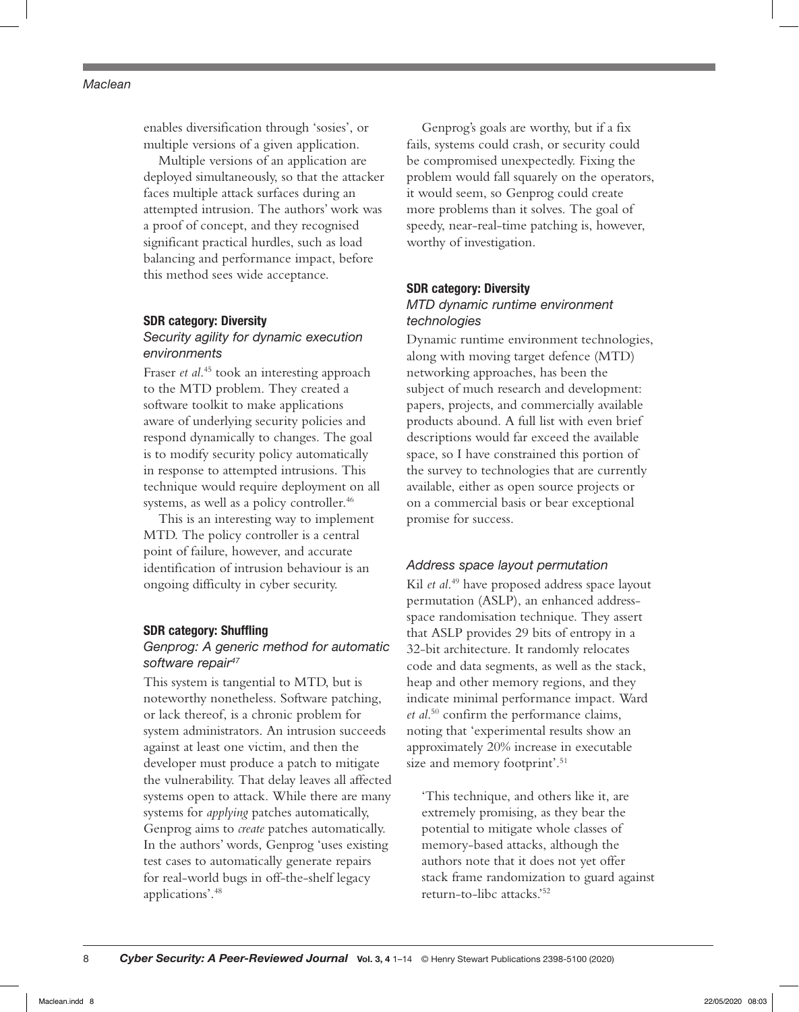enables diversification through 'sosies', or multiple versions of a given application.

Multiple versions of an application are deployed simultaneously, so that the attacker faces multiple attack surfaces during an attempted intrusion. The authors' work was a proof of concept, and they recognised significant practical hurdles, such as load balancing and performance impact, before this method sees wide acceptance.

#### SDR category: Diversity

## *Security agility for dynamic execution environments*

Fraser *et al*. 45 took an interesting approach to the MTD problem. They created a software toolkit to make applications aware of underlying security policies and respond dynamically to changes. The goal is to modify security policy automatically in response to attempted intrusions. This technique would require deployment on all systems, as well as a policy controller.<sup>46</sup>

This is an interesting way to implement MTD. The policy controller is a central point of failure, however, and accurate identification of intrusion behaviour is an ongoing difficulty in cyber security.

#### SDR category: Shuffling

## *Genprog: A generic method for automatic software repair47*

This system is tangential to MTD, but is noteworthy nonetheless. Software patching, or lack thereof, is a chronic problem for system administrators. An intrusion succeeds against at least one victim, and then the developer must produce a patch to mitigate the vulnerability. That delay leaves all affected systems open to attack. While there are many systems for *applying* patches automatically, Genprog aims to *create* patches automatically. In the authors' words, Genprog 'uses existing test cases to automatically generate repairs for real-world bugs in off-the-shelf legacy applications'.48

Genprog's goals are worthy, but if a fix fails, systems could crash, or security could be compromised unexpectedly. Fixing the problem would fall squarely on the operators, it would seem, so Genprog could create more problems than it solves. The goal of speedy, near-real-time patching is, however, worthy of investigation.

## SDR category: Diversity *MTD dynamic runtime environment technologies*

Dynamic runtime environment technologies, along with moving target defence (MTD) networking approaches, has been the subject of much research and development: papers, projects, and commercially available products abound. A full list with even brief descriptions would far exceed the available space, so I have constrained this portion of the survey to technologies that are currently available, either as open source projects or on a commercial basis or bear exceptional promise for success.

#### *Address space layout permutation*

Kil *et al*. 49 have proposed address space layout permutation (ASLP), an enhanced addressspace randomisation technique. They assert that ASLP provides 29 bits of entropy in a 32-bit architecture. It randomly relocates code and data segments, as well as the stack, heap and other memory regions, and they indicate minimal performance impact. Ward *et al*. 50 confirm the performance claims, noting that 'experimental results show an approximately 20% increase in executable size and memory footprint'.<sup>51</sup>

'This technique, and others like it, are extremely promising, as they bear the potential to mitigate whole classes of memory-based attacks, although the authors note that it does not yet offer stack frame randomization to guard against return-to-libc attacks.'52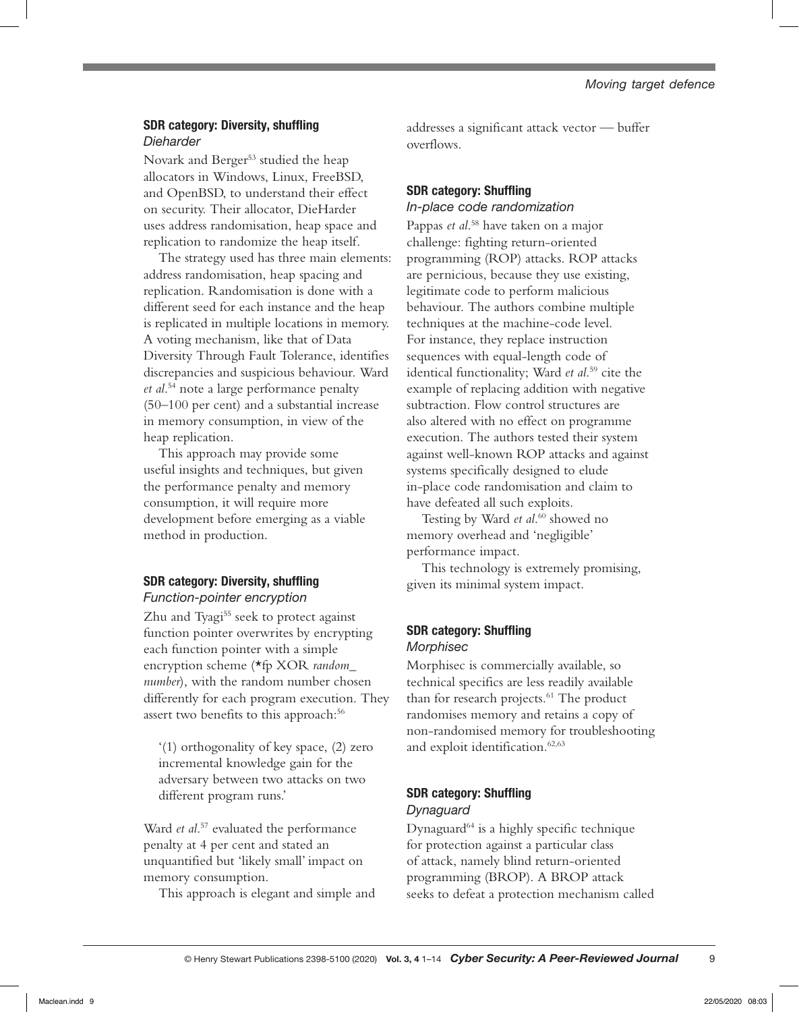## SDR category: Diversity, shuffling *Dieharder*

Novark and Berger<sup>53</sup> studied the heap allocators in Windows, Linux, FreeBSD, and OpenBSD, to understand their effect on security. Their allocator, DieHarder uses address randomisation, heap space and replication to randomize the heap itself.

The strategy used has three main elements: address randomisation, heap spacing and replication. Randomisation is done with a different seed for each instance and the heap is replicated in multiple locations in memory. A voting mechanism, like that of Data Diversity Through Fault Tolerance, identifies discrepancies and suspicious behaviour. Ward *et al*. 54 note a large performance penalty (50–100 per cent) and a substantial increase in memory consumption, in view of the heap replication.

This approach may provide some useful insights and techniques, but given the performance penalty and memory consumption, it will require more development before emerging as a viable method in production.

# SDR category: Diversity, shuffling *Function-pointer encryption*

Zhu and Tyagi<sup>55</sup> seek to protect against function pointer overwrites by encrypting each function pointer with a simple encryption scheme (\*fp XOR *random\_ number*), with the random number chosen differently for each program execution. They assert two benefits to this approach:<sup>56</sup>

'(1) orthogonality of key space, (2) zero incremental knowledge gain for the adversary between two attacks on two different program runs.'

Ward *et al.*<sup>57</sup> evaluated the performance penalty at 4 per cent and stated an unquantified but 'likely small' impact on memory consumption.

This approach is elegant and simple and

addresses a significant attack vector — buffer overflows.

## SDR category: Shuffling *In-place code randomization*

Pappas *et al*. 58 have taken on a major challenge: fighting return-oriented programming (ROP) attacks. ROP attacks are pernicious, because they use existing, legitimate code to perform malicious behaviour. The authors combine multiple techniques at the machine-code level. For instance, they replace instruction sequences with equal-length code of identical functionality; Ward *et al*. 59 cite the example of replacing addition with negative subtraction. Flow control structures are also altered with no effect on programme execution. The authors tested their system against well-known ROP attacks and against systems specifically designed to elude in-place code randomisation and claim to have defeated all such exploits.

Testing by Ward *et al*. 60 showed no memory overhead and 'negligible' performance impact.

This technology is extremely promising, given its minimal system impact.

## SDR category: Shuffling *Morphisec*

Morphisec is commercially available, so technical specifics are less readily available than for research projects.<sup>61</sup> The product randomises memory and retains a copy of non-randomised memory for troubleshooting and exploit identification.<sup>62,63</sup>

# SDR category: Shuffling *Dynaguard*

Dynaguard<sup>64</sup> is a highly specific technique for protection against a particular class of attack, namely blind return-oriented programming (BROP). A BROP attack seeks to defeat a protection mechanism called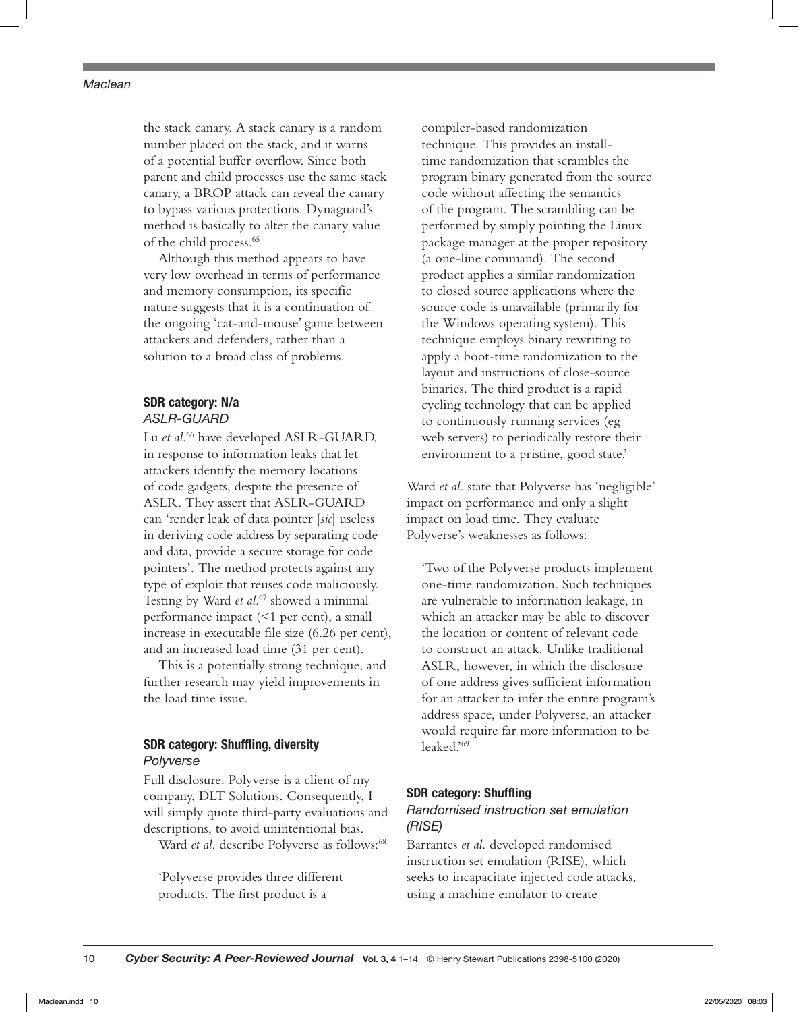the stack canary. A stack canary is a random number placed on the stack, and it warns of a potential buffer overflow. Since both parent and child processes use the same stack canary, a BROP attack can reveal the canary to bypass various protections. Dynaguard's method is basically to alter the canary value of the child process.<sup>65</sup>

Although this method appears to have very low overhead in terms of performance and memory consumption, its specific nature suggests that it is a continuation of the ongoing 'cat-and-mouse' game between attackers and defenders, rather than a solution to a broad class of problems.

# SDR category: N/a

## *ASLR-GUARD*

Lu *et al*. 66 have developed ASLR-GUARD, in response to information leaks that let attackers identify the memory locations of code gadgets, despite the presence of ASLR. They assert that ASLR-GUARD can 'render leak of data pointer [*sic*] useless in deriving code address by separating code and data, provide a secure storage for code pointers'. The method protects against any type of exploit that reuses code maliciously. Testing by Ward *et al*. 67 showed a minimal performance impact (<1 per cent), a small increase in executable file size (6.26 per cent), and an increased load time (31 per cent).

This is a potentially strong technique, and further research may yield improvements in the load time issue.

## SDR category: Shuffling, diversity *Polyverse*

Full disclosure: Polyverse is a client of my company, DLT Solutions. Consequently, I will simply quote third-party evaluations and descriptions, to avoid unintentional bias.

Ward *et al.* describe Polyverse as follows:<sup>68</sup>

'Polyverse provides three different products. The first product is a

compiler-based randomization technique. This provides an installtime randomization that scrambles the program binary generated from the source code without affecting the semantics of the program. The scrambling can be performed by simply pointing the Linux package manager at the proper repository (a one-line command). The second product applies a similar randomization to closed source applications where the source code is unavailable (primarily for the Windows operating system). This technique employs binary rewriting to apply a boot-time randomization to the layout and instructions of close-source binaries. The third product is a rapid cycling technology that can be applied to continuously running services (eg web servers) to periodically restore their environment to a pristine, good state.'

Ward *et al*. state that Polyverse has 'negligible' impact on performance and only a slight impact on load time. They evaluate Polyverse's weaknesses as follows:

'Two of the Polyverse products implement one-time randomization. Such techniques are vulnerable to information leakage, in which an attacker may be able to discover the location or content of relevant code to construct an attack. Unlike traditional ASLR, however, in which the disclosure of one address gives sufficient information for an attacker to infer the entire program's address space, under Polyverse, an attacker would require far more information to be leaked.'69

#### SDR category: Shuffling

## *Randomised instruction set emulation (RISE)*

Barrantes *et al*. developed randomised instruction set emulation (RISE), which seeks to incapacitate injected code attacks, using a machine emulator to create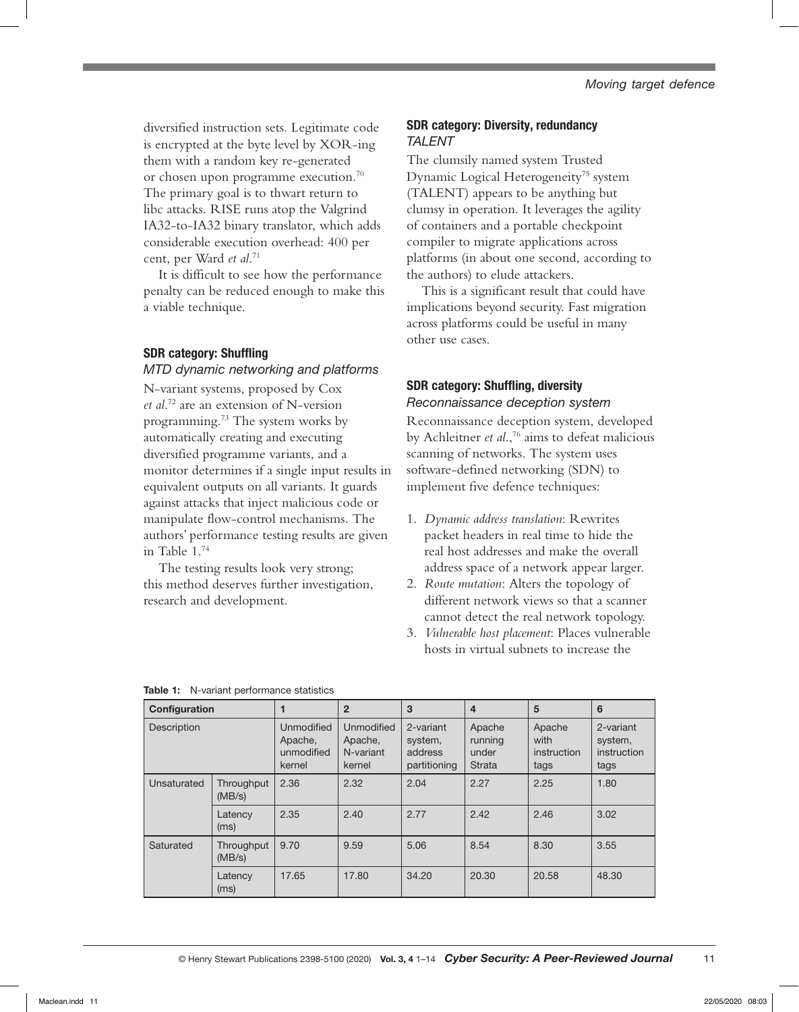diversified instruction sets. Legitimate code is encrypted at the byte level by XOR-ing them with a random key re-generated or chosen upon programme execution.<sup>70</sup> The primary goal is to thwart return to libc attacks. RISE runs atop the Valgrind IA32-to-IA32 binary translator, which adds considerable execution overhead: 400 per cent, per Ward *et al*. 71

It is difficult to see how the performance penalty can be reduced enough to make this a viable technique.

## SDR category: Shuffling

## *MTD dynamic networking and platforms*

N-variant systems, proposed by Cox *et al*. 72 are an extension of N-version programming.73 The system works by automatically creating and executing diversified programme variants, and a monitor determines if a single input results in equivalent outputs on all variants. It guards against attacks that inject malicious code or manipulate flow-control mechanisms. The authors' performance testing results are given in Table 1.74

The testing results look very strong; this method deserves further investigation, research and development.

## SDR category: Diversity, redundancy *TALENT*

The clumsily named system Trusted Dynamic Logical Heterogeneity<sup>75</sup> system (TALENT) appears to be anything but clumsy in operation. It leverages the agility of containers and a portable checkpoint compiler to migrate applications across platforms (in about one second, according to the authors) to elude attackers.

This is a significant result that could have implications beyond security. Fast migration across platforms could be useful in many other use cases.

## SDR category: Shuffling, diversity *Reconnaissance deception system*

Reconnaissance deception system, developed by Achleitner *et al*.,76 aims to defeat malicious scanning of networks. The system uses software-defined networking (SDN) to implement five defence techniques:

- 1. *Dynamic address translation*: Rewrites packet headers in real time to hide the real host addresses and make the overall address space of a network appear larger.
- 2. *Route mutation*: Alters the topology of different network views so that a scanner cannot detect the real network topology.
- 3. *Vulnerable host placement*: Places vulnerable hosts in virtual subnets to increase the

| Configuration |                      | 1                                             | $\overline{2}$                               | 3                                               | $\overline{4}$                       | 5                                     | 6                                           |
|---------------|----------------------|-----------------------------------------------|----------------------------------------------|-------------------------------------------------|--------------------------------------|---------------------------------------|---------------------------------------------|
| Description   |                      | Unmodified<br>Apache,<br>unmodified<br>kernel | Unmodified<br>Apache,<br>N-variant<br>kernel | 2-variant<br>system,<br>address<br>partitioning | Apache<br>running<br>under<br>Strata | Apache<br>with<br>instruction<br>tags | 2-variant<br>system,<br>instruction<br>tags |
| Unsaturated   | Throughput<br>(MB/s) | 2.36                                          | 2.32                                         | 2.04                                            | 2.27                                 | 2.25                                  | 1.80                                        |
|               | Latency<br>(ms)      | 2.35                                          | 2.40                                         | 2.77                                            | 2.42                                 | 2.46                                  | 3.02                                        |
| Saturated     | Throughput<br>(MB/s) | 9.70                                          | 9.59                                         | 5.06                                            | 8.54                                 | 8.30                                  | 3.55                                        |
|               | Latency<br>(ms)      | 17.65                                         | 17.80                                        | 34.20                                           | 20.30                                | 20.58                                 | 48.30                                       |

|  |  | Table 1: N-variant performance statistics |  |
|--|--|-------------------------------------------|--|
|--|--|-------------------------------------------|--|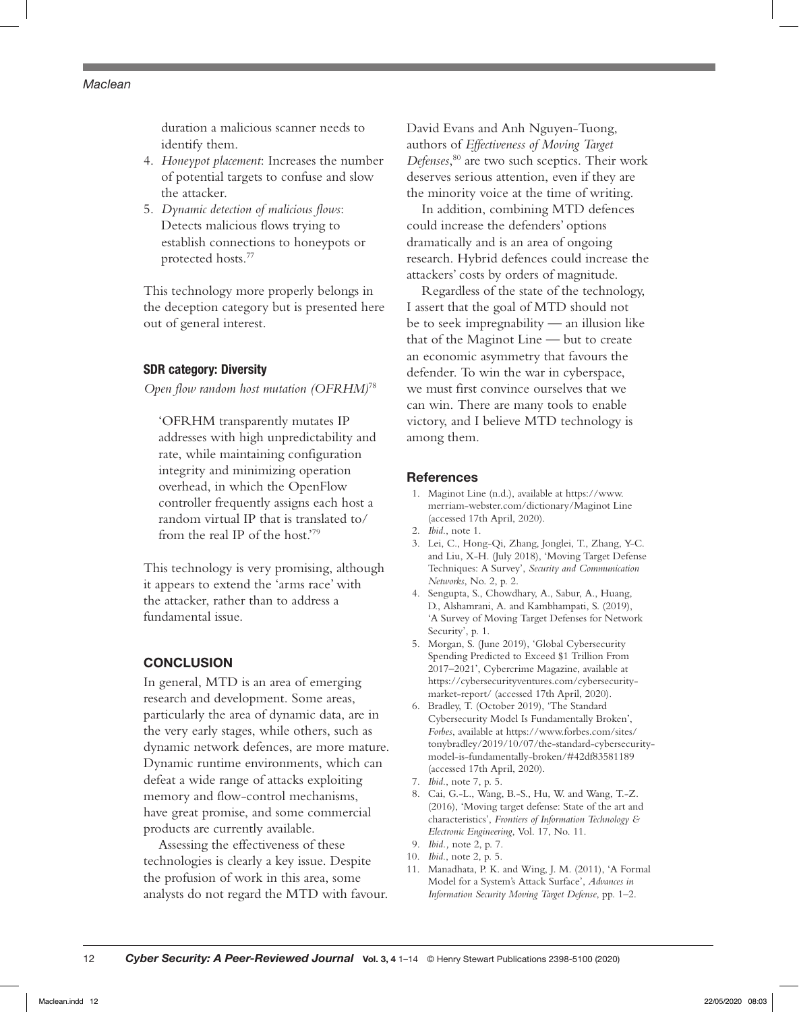duration a malicious scanner needs to identify them.

- 4. *Honeypot placement*: Increases the number of potential targets to confuse and slow the attacker.
- 5. *Dynamic detection of malicious flows*: Detects malicious flows trying to establish connections to honeypots or protected hosts.77

This technology more properly belongs in the deception category but is presented here out of general interest.

## SDR category: Diversity

*Open flow random host mutation (OFRHM)*<sup>78</sup>

'OFRHM transparently mutates IP addresses with high unpredictability and rate, while maintaining configuration integrity and minimizing operation overhead, in which the OpenFlow controller frequently assigns each host a random virtual IP that is translated to/ from the real IP of the host.'79

This technology is very promising, although it appears to extend the 'arms race' with the attacker, rather than to address a fundamental issue.

## **CONCLUSION**

In general, MTD is an area of emerging research and development. Some areas, particularly the area of dynamic data, are in the very early stages, while others, such as dynamic network defences, are more mature. Dynamic runtime environments, which can defeat a wide range of attacks exploiting memory and flow-control mechanisms, have great promise, and some commercial products are currently available.

Assessing the effectiveness of these technologies is clearly a key issue. Despite the profusion of work in this area, some analysts do not regard the MTD with favour. David Evans and Anh Nguyen-Tuong, authors of *Effectiveness of Moving Target Defenses*, 80 are two such sceptics. Their work deserves serious attention, even if they are the minority voice at the time of writing.

In addition, combining MTD defences could increase the defenders' options dramatically and is an area of ongoing research. Hybrid defences could increase the attackers' costs by orders of magnitude.

Regardless of the state of the technology, I assert that the goal of MTD should not be to seek impregnability — an illusion like that of the Maginot Line — but to create an economic asymmetry that favours the defender. To win the war in cyberspace, we must first convince ourselves that we can win. There are many tools to enable victory, and I believe MTD technology is among them.

#### References

- 1. Maginot Line (n.d.), available at https://www. merriam-webster.com/dictionary/Maginot Line (accessed 17th April, 2020).
- 2. *Ibid*., note 1.
- 3. Lei, C., Hong-Qi, Zhang, Jonglei, T., Zhang, Y-C. and Liu, X-H. (July 2018), 'Moving Target Defense Techniques: A Survey', *Security and Communication Networks*, No. 2, p. 2.
- 4. Sengupta, S., Chowdhary, A., Sabur, A., Huang, D., Alshamrani, A. and Kambhampati, S. (2019), 'A Survey of Moving Target Defenses for Network Security', p. 1.
- 5. Morgan, S. (June 2019), 'Global Cybersecurity Spending Predicted to Exceed \$1 Trillion From 2017–2021', Cybercrime Magazine, available at https://cybersecurityventures.com/cybersecuritymarket-report/ (accessed 17th April, 2020).
- 6. Bradley, T. (October 2019), 'The Standard Cybersecurity Model Is Fundamentally Broken', *Forbes*, available at https://www.forbes.com/sites/ tonybradley/2019/10/07/the-standard-cybersecuritymodel-is-fundamentally-broken/#42df83581189 (accessed 17th April, 2020).
- 7. *Ibid*., note 7, p. 5.
- 8. Cai, G.-L., Wang, B.-S., Hu, W. and Wang, T.-Z. (2016), 'Moving target defense: State of the art and characteristics', *Frontiers of Information Technology & Electronic Engineering*, Vol. 17, No. 11.
- 9. *Ibid.,* note 2, p. 7.
- 10. *Ibid*., note 2, p. 5.
- 11. Manadhata, P. K. and Wing, J. M. (2011), 'A Formal Model for a System's Attack Surface', *Advances in Information Security Moving Target Defense*, pp. 1–2.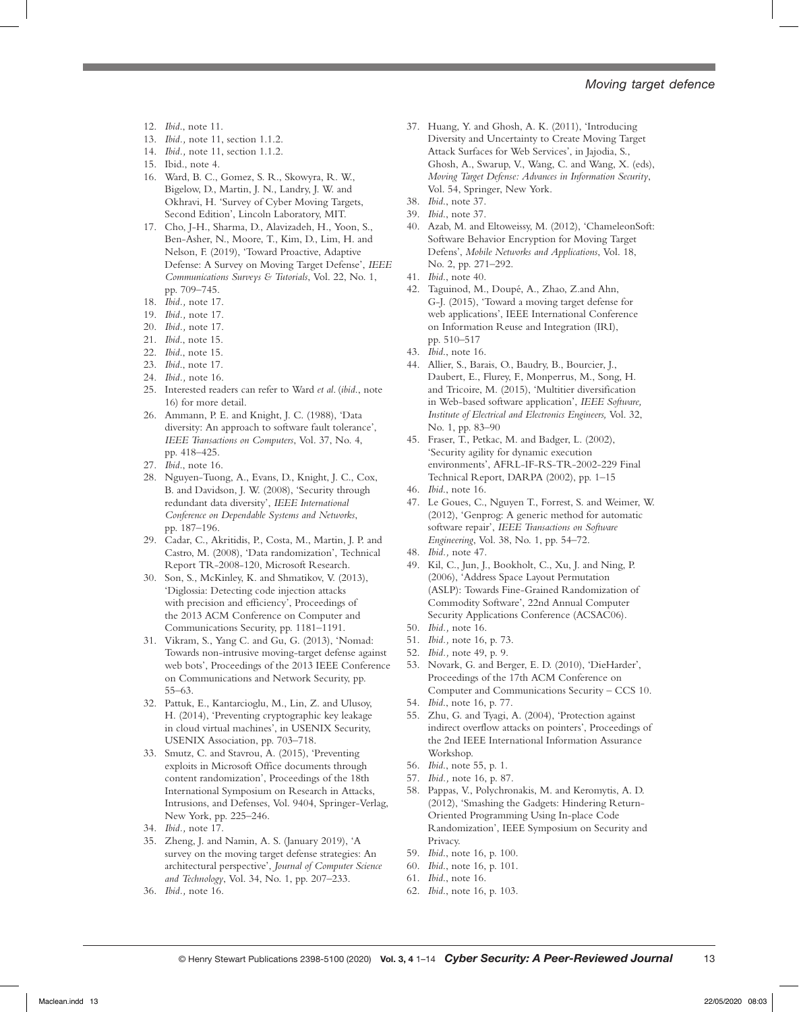#### *Moving target defence*

- 12. *Ibid*., note 11.
- 13. *Ibid.,* note 11, section 1.1.2.
- 14. *Ibid.,* note 11, section 1.1.2.
- 15. Ibid., note 4.
- 16. Ward, B. C., Gomez, S. R., Skowyra, R. W., Bigelow, D., Martin, J. N., Landry, J. W. and Okhravi, H. 'Survey of Cyber Moving Targets, Second Edition', Lincoln Laboratory, MIT.
- 17. Cho, J-H., Sharma, D., Alavizadeh, H., Yoon, S., Ben-Asher, N., Moore, T., Kim, D., Lim, H. and Nelson, F. (2019), 'Toward Proactive, Adaptive Defense: A Survey on Moving Target Defense', *IEEE Communications Surveys & Tutorials*, Vol. 22, No. 1, pp. 709–745.
- 18. *Ibid.,* note 17.
- 19. *Ibid.,* note 17.
- 20. *Ibid.,* note 17.
- 21. *Ibid*., note 15.
- 22. *Ibid*., note 15.
- 23. *Ibid*., note 17.
- 24. *Ibid.,* note 16.
- 25. Interested readers can refer to Ward *et al*. (*ibid*., note 16) for more detail.
- 26. Ammann, P. E. and Knight, J. C. (1988), 'Data diversity: An approach to software fault tolerance', *IEEE Transactions on Computers*, Vol. 37, No. 4, pp. 418–425.
- 27. *Ibid*., note 16.
- 28. Nguyen-Tuong, A., Evans, D., Knight, J. C., Cox, B. and Davidson, J. W. (2008), 'Security through redundant data diversity', *IEEE International Conference on Dependable Systems and Networks*, pp. 187–196.
- 29. Cadar, C., Akritidis, P., Costa, M., Martin, J. P. and Castro, M. (2008), 'Data randomization', Technical Report TR-2008-120, Microsoft Research.
- 30. Son, S., McKinley, K. and Shmatikov, V. (2013), 'Diglossia: Detecting code injection attacks with precision and efficiency', Proceedings of the 2013 ACM Conference on Computer and Communications Security, pp. 1181–1191.
- 31. Vikram, S., Yang C. and Gu, G. (2013), 'Nomad: Towards non-intrusive moving-target defense against web bots', Proceedings of the 2013 IEEE Conference on Communications and Network Security, pp. 55–63.
- 32. Pattuk, E., Kantarcioglu, M., Lin, Z. and Ulusoy, H. (2014), 'Preventing cryptographic key leakage in cloud virtual machines', in USENIX Security, USENIX Association, pp. 703–718.
- 33. Smutz, C. and Stavrou, A. (2015), 'Preventing exploits in Microsoft Office documents through content randomization', Proceedings of the 18th International Symposium on Research in Attacks, Intrusions, and Defenses, Vol. 9404, Springer-Verlag, New York, pp. 225–246.
- 34. *Ibid.,* note 17.
- 35. Zheng, J. and Namin, A. S. (January 2019), 'A survey on the moving target defense strategies: An architectural perspective', *Journal of Computer Science and Technology*, Vol. 34, No. 1, pp. 207–233.
- 36. *Ibid.,* note 16.
- 37. Huang, Y. and Ghosh, A. K. (2011), 'Introducing Diversity and Uncertainty to Create Moving Target Attack Surfaces for Web Services', in Jajodia, S., Ghosh, A., Swarup, V., Wang, C. and Wang, X. (eds), *Moving Target Defense: Advances in Information Security*, Vol. 54, Springer, New York.
- 38. *Ibid*., note 37.
- 39. *Ibid*., note 37.
- 40. Azab, M. and Eltoweissy, M. (2012), 'ChameleonSoft: Software Behavior Encryption for Moving Target Defens', *Mobile Networks and Applications*, Vol. 18, No. 2, pp. 271–292.
- 41. *Ibid*., note 40.
- 42. Taguinod, M., Doupé, A., Zhao, Z.and Ahn, G-J. (2015), 'Toward a moving target defense for web applications', IEEE International Conference on Information Reuse and Integration (IRI), pp. 510–517
- 43. *Ibid*., note 16.
- 44. Allier, S., Barais, O., Baudry, B., Bourcier, J., Daubert, E., Flurey, F., Monperrus, M., Song, H. and Tricoire, M. (2015), 'Multitier diversification in Web-based software application', *IEEE Software, Institute of Electrical and Electronics Engineers,* Vol. 32, No. 1, pp. 83–90
- 45. Fraser, T., Petkac, M. and Badger, L. (2002), 'Security agility for dynamic execution environments', AFRL-IF-RS-TR-2002-229 Final Technical Report, DARPA (2002), pp. 1–15
- 46. *Ibid*., note 16.
- 47. Le Goues, C., Nguyen T., Forrest, S. and Weimer, W. (2012), 'Genprog: A generic method for automatic software repair', *IEEE Transactions on Software Engineering*, Vol. 38, No. 1, pp. 54–72.
- 48. *Ibid.,* note 47.
- 49. Kil, C., Jun, J., Bookholt, C., Xu, J. and Ning, P. (2006), 'Address Space Layout Permutation (ASLP): Towards Fine-Grained Randomization of Commodity Software', 22nd Annual Computer Security Applications Conference (ACSAC06).
- 50. *Ibid.,* note 16.
- 51. *Ibid.,* note 16, p. 73.
- 52. *Ibid.,* note 49, p. 9.
- 53. Novark, G. and Berger, E. D. (2010), 'DieHarder', Proceedings of the 17th ACM Conference on Computer and Communications Security – CCS 10.
- 54. *Ibid*., note 16, p. 77.
- 55. Zhu, G. and Tyagi, A. (2004), 'Protection against indirect overflow attacks on pointers', Proceedings of the 2nd IEEE International Information Assurance Workshop.
- 56. *Ibid*., note 55, p. 1.
- 57. *Ibid.,* note 16, p. 87.
- 58. Pappas, V., Polychronakis, M. and Keromytis, A. D. (2012), 'Smashing the Gadgets: Hindering Return-Oriented Programming Using In-place Code Randomization', IEEE Symposium on Security and Privacy.
- 59. *Ibid*., note 16, p. 100.
- 60. *Ibid*., note 16, p. 101.
- 61. *Ibid*., note 16.
- 62. *Ibid*., note 16, p. 103.